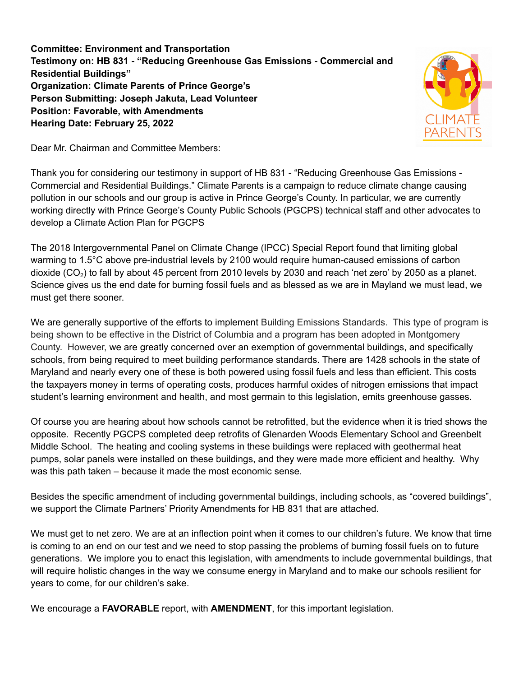**Committee: Environment and Transportation Testimony on: HB 831 - "Reducing Greenhouse Gas Emissions - Commercial and Residential Buildings" Organization: Climate Parents of Prince George's Person Submitting: Joseph Jakuta, Lead Volunteer Position: Favorable, with Amendments Hearing Date: February 25, 2022**



Dear Mr. Chairman and Committee Members:

Thank you for considering our testimony in support of HB 831 - "Reducing Greenhouse Gas Emissions - Commercial and Residential Buildings." Climate Parents is a campaign to reduce climate change causing pollution in our schools and our group is active in Prince George's County. In particular, we are currently working directly with Prince George's County Public Schools (PGCPS) technical staff and other advocates to develop a Climate Action Plan for PGCPS

The 2018 Intergovernmental Panel on Climate Change (IPCC) Special Report found that limiting global warming to 1.5°C above pre-industrial levels by 2100 would require human-caused emissions of carbon dioxide (CO<sub>2</sub>) to fall by about 45 percent from 2010 levels by 2030 and reach 'net zero' by 2050 as a planet. Science gives us the end date for burning fossil fuels and as blessed as we are in Mayland we must lead, we must get there sooner.

We are generally supportive of the efforts to implement Building Emissions Standards. This type of program is being shown to be effective in the District of Columbia and a program has been adopted in Montgomery County. However, we are greatly concerned over an exemption of governmental buildings, and specifically schools, from being required to meet building performance standards. There are 1428 schools in the state of Maryland and nearly every one of these is both powered using fossil fuels and less than efficient. This costs the taxpayers money in terms of operating costs, produces harmful oxides of nitrogen emissions that impact student's learning environment and health, and most germain to this legislation, emits greenhouse gasses.

Of course you are hearing about how schools cannot be retrofitted, but the evidence when it is tried shows the opposite. Recently PGCPS completed deep retrofits of Glenarden Woods Elementary School and Greenbelt Middle School. The heating and cooling systems in these buildings were replaced with geothermal heat pumps, solar panels were installed on these buildings, and they were made more efficient and healthy. Why was this path taken – because it made the most economic sense.

Besides the specific amendment of including governmental buildings, including schools, as "covered buildings", we support the Climate Partners' Priority Amendments for HB 831 that are attached.

We must get to net zero. We are at an inflection point when it comes to our children's future. We know that time is coming to an end on our test and we need to stop passing the problems of burning fossil fuels on to future generations. We implore you to enact this legislation, with amendments to include governmental buildings, that will require holistic changes in the way we consume energy in Maryland and to make our schools resilient for years to come, for our children's sake.

We encourage a **FAVORABLE** report, with **AMENDMENT**, for this important legislation.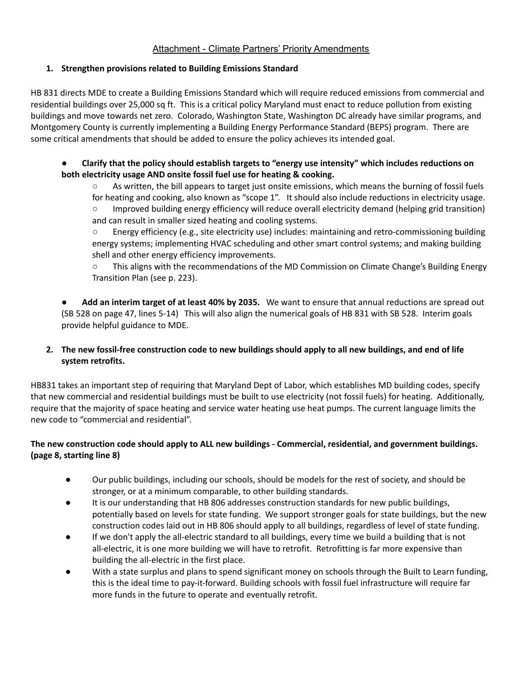# Attachment - Climate Partners' Priority Amendments

### **1. Strengthen provisions related to Building Emissions Standard**

HB 831 directs MDE to create a Building Emissions Standard which will require reduced emissions from commercial and residential buildings over 25,000 sq ft. This is a critical policy Maryland must enact to reduce pollution from existing buildings and move towards net zero. Colorado, Washington State, Washington DC already have similar programs, and Montgomery County is currently implementing a Building Energy Performance Standard (BEPS) program. There are some critical amendments that should be added to ensure the policy achieves its intended goal.

### ● **Clarify that the policy should establish targets to "energy use intensity" which includes reductions on both electricity usage AND onsite fossil fuel use for heating & cooking.**

○ As written, the bill appears to target just onsite emissions, which means the burning of fossil fuels for heating and cooking, also known as "scope 1". It should also include reductions in electricity usage. ○ Improved building energy efficiency will reduce overall electricity demand (helping grid transition) and can result in smaller sized heating and cooling systems.

 $\circ$  Energy efficiency (e.g., site electricity use) includes: maintaining and retro-commissioning building energy systems; implementing HVAC scheduling and other smart control systems; and making building shell and other energy efficiency improvements.

○ This aligns with the recommendations of the MD Commission on Climate Change's Building Energy Transition Plan (see p. 223).

● **Add an interim target of at least 40% by 2035.** We want to ensure that annual reductions are spread out (SB 528 on page 47, lines 5-14) This will also align the numerical goals of HB 831 with SB 528. Interim goals provide helpful guidance to MDE.

## 2. The new fossil-free construction code to new buildings should apply to all new buildings, and end of life **system retrofits.**

HB831 takes an important step of requiring that Maryland Dept of Labor, which establishes MD building codes, specify that new commercial and residential buildings must be built to use electricity (not fossil fuels) for heating. Additionally, require that the majority of space heating and service water heating use heat pumps. The current language limits the new code to "commercial and residential".

## **The new construction code should apply to ALL new buildings - Commercial, residential, and government buildings. (page 8, starting line 8)**

- Our public buildings, including our schools, should be models for the rest of society, and should be stronger, or at a minimum comparable, to other building standards.
- It is our understanding that HB 806 addresses construction standards for new public buildings, potentially based on levels for state funding. We support stronger goals for state buildings, but the new construction codes laid out in HB 806 should apply to all buildings, regardless of level of state funding.
- If we don't apply the all-electric standard to all buildings, every time we build a building that is not all-electric, it is one more building we will have to retrofit. Retrofitting is far more expensive than building the all-electric in the first place.
- With a state surplus and plans to spend significant money on schools through the Built to Learn funding, this is the ideal time to pay-it-forward. Building schools with fossil fuel infrastructure will require far more funds in the future to operate and eventually retrofit.